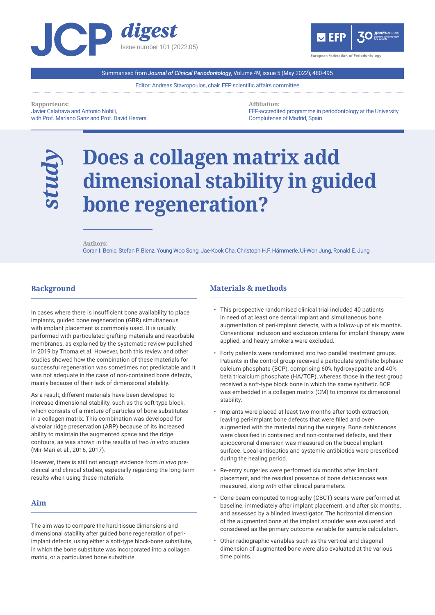



Summarised from *Journal of Clinical Periodontology*, Volume 49, issue 5 (May 2022), 480-495

Editor: Andreas Stavropoulos, chair, EFP scientific affairs committee

**Rapporteurs:**  Javier Calatrava and Antonio Nobili, with Prof. Mariano Sanz and Prof. David Herrera **Affiliation:**  EFP-accredited programme in periodontology at the University Complutense of Madrid, Spain

# **Does a collagen matrix add dimensional stability in guided bone regeneration?**

**Authors:**  Goran I. Benic, Stefan P. Bienz, Young Woo Song, Jae-Kook Cha, Christoph H.F. Hämmerle, Ui-Won Jung, Ronald E. Jung

## **Background**

*study*

l

In cases where there is insufficient bone availability to place implants, guided bone regeneration (GBR) simultaneous with implant placement is commonly used. It is usually performed with particulated grafting materials and resorbable membranes, as explained by the systematic review published in 2019 by Thoma et al. However, both this review and other studies showed how the combination of these materials for successful regeneration was sometimes not predictable and it was not adequate in the case of non-contained bone defects, mainly because of their lack of dimensional stability.

As a result, different materials have been developed to increase dimensional stability, such as the soft-type block, which consists of a mixture of particles of bone substitutes in a collagen matrix. This combination was developed for alveolar ridge preservation (ARP) because of its increased ability to maintain the augmented space and the ridge contours, as was shown in the results of two *in vitro* studies (Mir-Mari et al., 2016, 2017).

However, there is still not enough evidence from *in vivo* preclinical and clinical studies, especially regarding the long-term results when using these materials.

### **Aim**

l

The aim was to compare the hard-tissue dimensions and dimensional stability after guided bone regeneration of periimplant defects, using either a soft-type block-bone substitute, in which the bone substitute was incorporated into a collagen matrix, or a particulated bone substitute.

#### **Materials & methods** l

- This prospective randomised clinical trial included 40 patients in need of at least one dental implant and simultaneous bone augmentation of peri-implant defects, with a follow-up of six months. Conventional inclusion and exclusion criteria for implant therapy were applied, and heavy smokers were excluded.
- Forty patients were randomised into two parallel treatment groups. Patients in the control group received a particulate synthetic biphasic calcium phosphate (BCP), comprising 60% hydroxyapatite and 40% beta tricalcium phosphate (HA/TCP), whereas those in the test group received a soft-type block bone in which the same synthetic BCP was embedded in a collagen matrix (CM) to improve its dimensional stability.
- Implants were placed at least two months after tooth extraction, leaving peri-implant bone defects that were filled and overaugmented with the material during the surgery. Bone dehiscences were classified in contained and non-contained defects, and their apicocoronal dimension was measured on the buccal implant surface. Local antiseptics and systemic antibiotics were prescribed during the healing period.
- Re-entry surgeries were performed six months after implant placement, and the residual presence of bone dehiscences was measured, along with other clinical parameters.
- Cone beam computed tomography (CBCT) scans were performed at baseline, immediately after implant placement, and after six months, and assessed by a blinded investigator. The horizontal dimension of the augmented bone at the implant shoulder was evaluated and considered as the primary outcome variable for sample calculation.
- Other radiographic variables such as the vertical and diagonal dimension of augmented bone were also evaluated at the various time points.